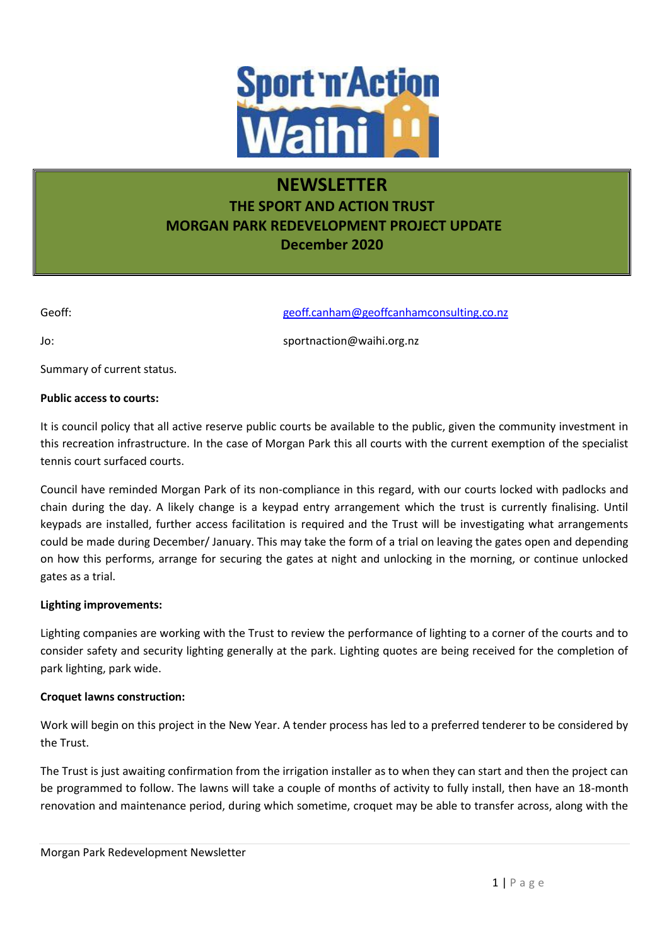

# **NEWSLETTER THE SPORT AND ACTION TRUST MORGAN PARK REDEVELOPMENT PROJECT UPDATE December 2020**

Geoff: Geoff: Geoff.canham@geoffcanhamconsulting.co.nz

Jo: sportnaction@waihi.org.nz

Summary of current status.

# **Public access to courts:**

It is council policy that all active reserve public courts be available to the public, given the community investment in this recreation infrastructure. In the case of Morgan Park this all courts with the current exemption of the specialist tennis court surfaced courts.

Council have reminded Morgan Park of its non-compliance in this regard, with our courts locked with padlocks and chain during the day. A likely change is a keypad entry arrangement which the trust is currently finalising. Until keypads are installed, further access facilitation is required and the Trust will be investigating what arrangements could be made during December/ January. This may take the form of a trial on leaving the gates open and depending on how this performs, arrange for securing the gates at night and unlocking in the morning, or continue unlocked gates as a trial.

## **Lighting improvements:**

Lighting companies are working with the Trust to review the performance of lighting to a corner of the courts and to consider safety and security lighting generally at the park. Lighting quotes are being received for the completion of park lighting, park wide.

## **Croquet lawns construction:**

Work will begin on this project in the New Year. A tender process has led to a preferred tenderer to be considered by the Trust.

The Trust is just awaiting confirmation from the irrigation installer as to when they can start and then the project can be programmed to follow. The lawns will take a couple of months of activity to fully install, then have an 18-month renovation and maintenance period, during which sometime, croquet may be able to transfer across, along with the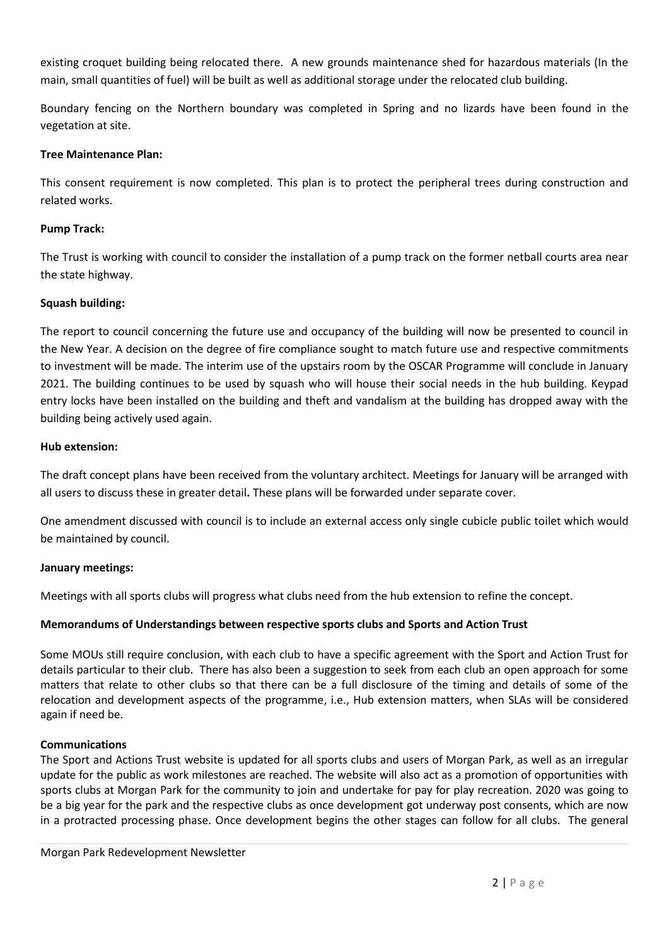existing croquet building being relocated there. A new grounds maintenance shed for hazardous materials (In the main, small quantities of fuel) will be built as well as additional storage under the relocated club building.

Boundary fencing on the Northern boundary was completed in Spring and no lizards have been found in the vegetation at site.

# **Tree Maintenance Plan:**

This consent requirement is now completed. This plan is to protect the peripheral trees during construction and related works.

# **Pump Track:**

The Trust is working with council to consider the installation of a pump track on the former netball courts area near the state highway.

# **Squash building:**

The report to council concerning the future use and occupancy of the building will now be presented to council in the New Year. A decision on the degree of fire compliance sought to match future use and respective commitments to investment will be made. The interim use of the upstairs room by the OSCAR Programme will conclude in January 2021. The building continues to be used by squash who will house their social needs in the hub building. Keypad entry locks have been installed on the building and theft and vandalism at the building has dropped away with the building being actively used again.

## **Hub extension:**

The draft concept plans have been received from the voluntary architect. Meetings for January will be arranged with all users to discuss these in greater detail**.** These plans will be forwarded under separate cover.

One amendment discussed with council is to include an external access only single cubicle public toilet which would be maintained by council.

## **January meetings:**

Meetings with all sports clubs will progress what clubs need from the hub extension to refine the concept.

# **Memorandums of Understandings between respective sports clubs and Sports and Action Trust**

Some MOUs still require conclusion, with each club to have a specific agreement with the Sport and Action Trust for details particular to their club. There has also been a suggestion to seek from each club an open approach for some matters that relate to other clubs so that there can be a full disclosure of the timing and details of some of the relocation and development aspects of the programme, i.e., Hub extension matters, when SLAs will be considered again if need be.

## **Communications**

The Sport and Actions Trust website is updated for all sports clubs and users of Morgan Park, as well as an irregular update for the public as work milestones are reached. The website will also act as a promotion of opportunities with sports clubs at Morgan Park for the community to join and undertake for pay for play recreation. 2020 was going to be a big year for the park and the respective clubs as once development got underway post consents, which are now in a protracted processing phase. Once development begins the other stages can follow for all clubs. The general